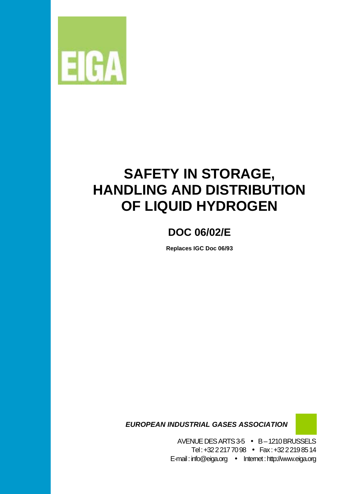

# **SAFETY IN STORAGE, HANDLING AND DISTRIBUTION OF LIQUID HYDROGEN**

# **DOC 06/02/E**

**Replaces IGC Doc 06/93** 

 *EUROPEAN INDUSTRIAL GASES ASSOCIATION* 

AVENUE DES ARTS 3-5 • B – 1210 BRUSSELS Tel : +32 2 217 70 98 • Fax : +32 2 219 85 14 E-mail : info@eiga.org • Internet : http://www.eiga.org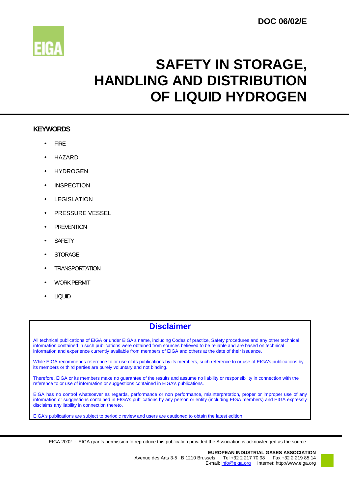

# **SAFETY IN STORAGE, HANDLING AND DISTRIBUTION OF LIQUID HYDROGEN**

### **KEYWORDS**

- FIRE
- HAZARD
- **HYDROGEN**
- **INSPECTION**
- **LEGISLATION**
- PRESSURE VESSEL
- **PREVENTION**
- SAFETY
- **STORAGE**
- **TRANSPORTATION**
- WORK PERMIT
- LIQUID

# **Disclaimer**

All technical publications of EIGA or under EIGA's name, including Codes of practice, Safety procedures and any other technical information contained in such publications were obtained from sources believed to be reliable and are based on technical information and experience currently available from members of EIGA and others at the date of their issuance.

While EIGA recommends reference to or use of its publications by its members, such reference to or use of EIGA's publications by its members or third parties are purely voluntary and not binding.

Therefore, EIGA or its members make no guarantee of the results and assume no liability or responsibility in connection with the reference to or use of information or suggestions contained in EIGA's publications.

EIGA has no control whatsoever as regards, performance or non performance, misinterpretation, proper or improper use of any information or suggestions contained in EIGA's publications by any person or entity (including EIGA members) and EIGA expressly disclaims any liability in connection thereto.

EIGA's publications are subject to periodic review and users are cautioned to obtain the latest edition.

EIGA 2002 - EIGA grants permission to reproduce this publication provided the Association is acknowledged as the source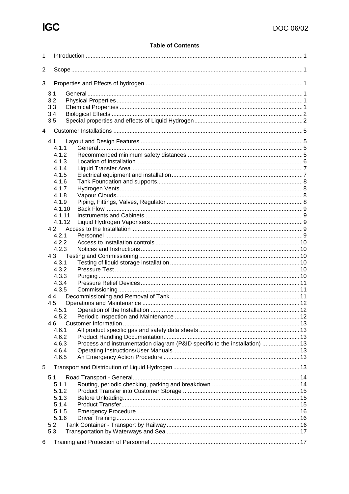# **Table of Contents**

| 1 |                       |                                                                             |  |
|---|-----------------------|-----------------------------------------------------------------------------|--|
| 2 |                       |                                                                             |  |
| 3 |                       |                                                                             |  |
|   | 3.1<br>3.2            |                                                                             |  |
|   | 3.3<br>3.4            |                                                                             |  |
|   | 3.5                   |                                                                             |  |
| 4 |                       |                                                                             |  |
|   | 4.1<br>4.1.1<br>4.1.2 |                                                                             |  |
|   | 4.1.3<br>4.1.4        |                                                                             |  |
|   | 4.1.5                 |                                                                             |  |
|   | 4.1.6<br>4.1.7        |                                                                             |  |
|   | 4.1.8<br>4.1.9        |                                                                             |  |
|   | 4.1.10<br>4.1.11      |                                                                             |  |
|   | 4.1.12                |                                                                             |  |
|   | 4.2<br>4.2.1          |                                                                             |  |
|   | 4.2.2<br>4.2.3        |                                                                             |  |
|   | 4.3                   |                                                                             |  |
|   | 4.3.1<br>4.3.2        |                                                                             |  |
|   | 4.3.3<br>4.3.4        |                                                                             |  |
|   | 4.3.5<br>4.4          |                                                                             |  |
|   | 4.5                   |                                                                             |  |
|   | 4.5.1                 |                                                                             |  |
|   | 4.6<br>4.6.1          |                                                                             |  |
|   | 4.6.2                 |                                                                             |  |
|   | 4.6.3<br>4.6.4        | Process and instrumentation diagram (P&ID specific to the installation)  13 |  |
|   | 4.6.5                 |                                                                             |  |
| 5 | 5.1                   |                                                                             |  |
|   | 5.1.1                 |                                                                             |  |
|   | 5.1.2<br>5.1.3        |                                                                             |  |
|   | 5.1.4<br>5.1.5        |                                                                             |  |
|   | 5.1.6                 |                                                                             |  |
|   | 5.2<br>5.3            |                                                                             |  |
| 6 |                       |                                                                             |  |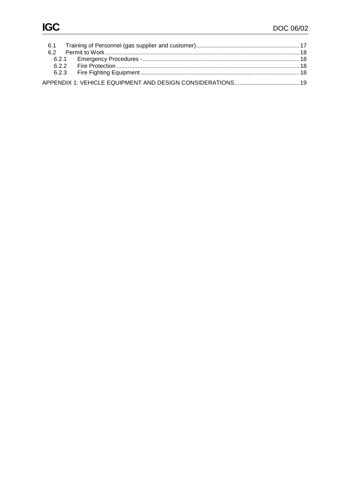| 62 |  |
|----|--|
|    |  |
|    |  |
|    |  |
|    |  |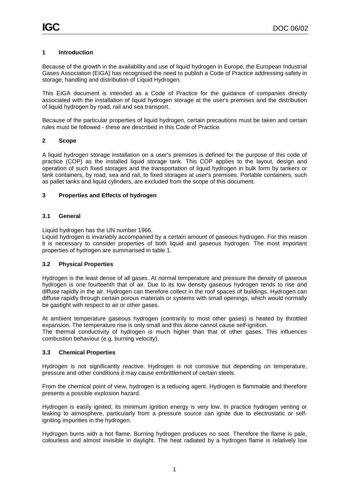#### **1 Introduction**

Because of the growth in the availability and use of liquid hydrogen in Europe, the European Industrial Gases Association (EIGA) has recognised the need to publish a Code of Practice addressing safety in storage, handling and distribution of Liquid Hydrogen.

This EIGA document is intended as a Code of Practice for the guidance of companies directly associated with the installation of liquid hydrogen storage at the user's premises and the distribution of liquid hydrogen by road, rail and sea transport.

Because of the particular properties of liquid hydrogen, certain precautions must be taken and certain rules must be followed - these are described in this Code of Practice.

#### **2 Scope**

A liquid hydrogen storage installation on a user's premises is defined for the purpose of this code of practice (COP) as the installed liquid storage tank. This COP applies to the layout, design and operation of such fixed storages and the transportation of liquid hydrogen in bulk form by tankers or tank containers, by road, sea and rail, to fixed storages at user's premises. Portable containers, such as pallet tanks and liquid cylinders, are excluded from the scope of this document.

#### **3 Properties and Effects of hydrogen**

#### **3.1 General**

Liquid hydrogen has the UN number 1966.

Liquid hydrogen is invariably accompanied by a certain amount of gaseous hydrogen. For this reason it is necessary to consider properties of both liquid and gaseous hydrogen. The most important properties of hydrogen are summarised in table 1.

#### **3.2 Physical Properties**

Hydrogen is the least dense of all gases. At normal temperature and pressure the density of gaseous hydrogen is one fourteenth that of air. Due to its low density gaseous hydrogen tends to rise and diffuse rapidly in the air. Hydrogen can therefore collect in the roof spaces of buildings. Hydrogen can diffuse rapidly through certain porous materials or systems with small openings, which would normally be gastight with respect to air or other gases.

At ambient temperature gaseous hydrogen (contrarily to most other gases) is heated by throttled expansion. The temperature rise is only small and this alone cannot cause self-ignition. The thermal conductivity of hydrogen is much higher than that of other gases. This influences combustion behaviour (e.g. burning velocity).

#### **3.3 Chemical Properties**

Hydrogen is not significantly reactive. Hydrogen is not corrosive but depending on temperature, pressure and other conditions it may cause embrittlement of certain steels.

From the chemical point of view, hydrogen is a reducing agent. Hydrogen is flammable and therefore presents a possible explosion hazard.

Hydrogen is easily ignited; its minimum ignition energy is very low. In practice hydrogen venting or leaking to atmosphere, particularly from a pressure source can ignite due to electrostatic or selfigniting impurities in the hydrogen.

Hydrogen burns with a hot flame. Burning hydrogen produces no soot. Therefore the flame is pale, colourless and almost invisible in daylight. The heat radiated by a hydrogen flame is relatively low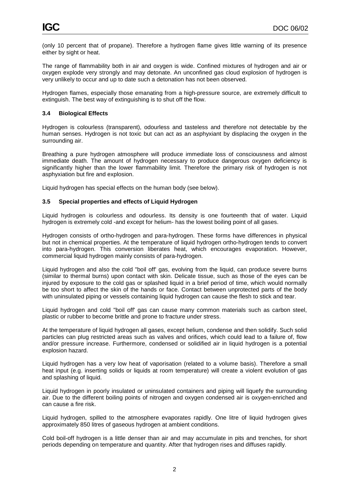(only 10 percent that of propane). Therefore a hydrogen flame gives little warning of its presence either by sight or heat.

The range of flammability both in air and oxygen is wide. Confined mixtures of hydrogen and air or oxygen explode very strongly and may detonate. An unconfined gas cloud explosion of hydrogen is very unlikely to occur and up to date such a detonation has not been observed.

Hydrogen flames, especially those emanating from a high-pressure source, are extremely difficult to extinguish. The best way of extinguishing is to shut off the flow.

#### **3.4 Biological Effects**

Hydrogen is colourless (transparent), odourless and tasteless and therefore not detectable by the human senses. Hydrogen is not toxic but can act as an asphyxiant by displacing the oxygen in the surrounding air.

Breathing a pure hydrogen atmosphere will produce immediate loss of consciousness and almost immediate death. The amount of hydrogen necessary to produce dangerous oxygen deficiency is significantly higher than the lower flammability limit. Therefore the primary risk of hydrogen is not asphyxiation but fire and explosion.

Liquid hydrogen has special effects on the human body (see below).

#### **3.5 Special properties and effects of Liquid Hydrogen**

Liquid hydrogen is colourless and odourless. Its density is one fourteenth that of water. Liquid hydrogen is extremely cold -and except for helium- has the lowest boiling point of all gases.

Hydrogen consists of ortho-hydrogen and para-hydrogen. These forms have differences in physical but not in chemical properties. At the temperature of liquid hydrogen ortho-hydrogen tends to convert into para-hydrogen. This conversion liberates heat, which encourages evaporation. However, commercial liquid hydrogen mainly consists of para-hydrogen.

Liquid hydrogen and also the cold "boil off' gas, evolving from the liquid, can produce severe burns (similar to thermal burns) upon contact with skin. Delicate tissue, such as those of the eyes can be injured by exposure to the cold gas or splashed liquid in a brief period of time, which would normally be too short to affect the skin of the hands or face. Contact between unprotected parts of the body with uninsulated piping or vessels containing liquid hydrogen can cause the flesh to stick and tear.

Liquid hydrogen and cold "boil off' gas can cause many common materials such as carbon steel, plastic or rubber to become brittle and prone to fracture under stress.

At the temperature of liquid hydrogen all gases, except helium, condense and then solidify. Such solid particles can plug restricted areas such as valves and orifices, which could lead to a failure of, flow and/or pressure increase. Furthermore, condensed or solidified air in liquid hydrogen is a potential explosion hazard.

Liquid hydrogen has a very low heat of vaporisation (related to a volume basis). Therefore a small heat input (e.g. inserting solids or liquids at room temperature) will create a violent evolution of gas and splashing of liquid.

Liquid hydrogen in poorly insulated or uninsulated containers and piping will liquefy the surrounding air. Due to the different boiling points of nitrogen and oxygen condensed air is oxygen-enriched and can cause a fire risk.

Liquid hydrogen, spilled to the atmosphere evaporates rapidly. One litre of liquid hydrogen gives approximately 850 litres of gaseous hydrogen at ambient conditions.

Cold boil-off hydrogen is a little denser than air and may accumulate in pits and trenches, for short periods depending on temperature and quantity. After that hydrogen rises and diffuses rapidly.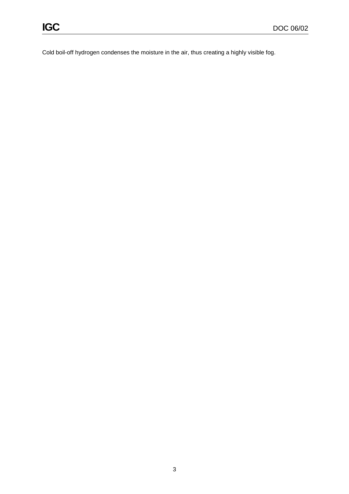Cold boil-off hydrogen condenses the moisture in the air, thus creating a highly visible fog.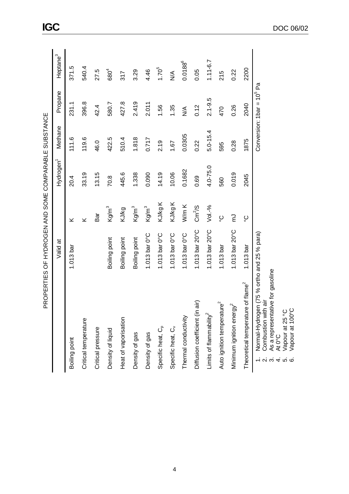|                                               | ראייני אייני אייני אייני אייני אייני אייני אייני אייני אייני אייני אייני אייני אייני אייני אייני אייני אייני א |                        |                       |              |                              |                      |
|-----------------------------------------------|----------------------------------------------------------------------------------------------------------------|------------------------|-----------------------|--------------|------------------------------|----------------------|
|                                               | Valid at                                                                                                       |                        | Hydrogen <sup>1</sup> | Methane      | Propane                      | Heptane <sup>3</sup> |
| Boiling point                                 | $1.013$ bar                                                                                                    | ⊻                      | 20.4                  | 111.6        | 231.1                        | 371.5                |
| Critical temperature                          |                                                                                                                | ⊻                      | 33.19                 | 119.6        | 396.8                        | 540.4                |
| Critical pressure                             |                                                                                                                | និ<br>ក                | 13.15                 | 46.0         | 42.4                         | 27.5                 |
| Density of liquid                             | Boiling point                                                                                                  | Kg/m <sup>3</sup>      | 70.8                  | 422.5        | 580.7                        | 680 <sup>4</sup>     |
| Heat of vaporisation                          | Boiling point                                                                                                  | KJ/kg                  | 445.6                 | 510.4        | 427.8                        | 317                  |
| Density of gas                                | Boiling point                                                                                                  | Kg/m <sup>3</sup>      | 1.338                 | 1.818        | 2.419                        | 3.29                 |
| Density of gas                                | 1.013 bar $0^{\circ}$ C                                                                                        | Kg/m <sup>3</sup>      | 0.090                 | 0.717        | 2.011                        | 4.46                 |
| Specific heat, C <sub>p</sub>                 | 1.013 bar $0^{\circ}$ C                                                                                        | KJ/kg K                | 14.19                 | 2.19         | 1.56                         | $1.70^{5}$           |
| Specific heat, C <sub>v</sub>                 | 1.013 bar $0^{\circ}$ C                                                                                        | KJ/kg K                | 10.06                 | 1.67         | 1.35                         | $\frac{4}{5}$        |
| Thermal conductivity                          | 1.013 bar $0^{\circ}$ C                                                                                        | W/m K                  | 0.1682                | 0.0305       | $\frac{1}{2}$                | $0.0188^{6}$         |
| air)<br>Diffusion coefficient (in             | 1.013 bar $20^{\circ}$ C                                                                                       | $\text{Cm}^2/\text{S}$ | 0.69                  | 0.22         | 0.12                         | 0.05                 |
| Limits of flammability <sup>2</sup>           | 1.013 bar $20^{\circ}$ C                                                                                       | $Vol.-%$               | $4.0 - 75.0$          | $5.0 - 15.4$ | $2.1 - 9.5$                  | $1.11 - 6.7$         |
| Auto ignition temperature <sup>2</sup>        | $1.013$ bar                                                                                                    | ပ္စ                    | 560                   | 595          | 470                          | 215                  |
| Minimum ignition energy <sup>2</sup>          | 1.013 bar 20°C                                                                                                 | ξ                      | 0.019                 | 0.28         | 0.26                         | 0.22                 |
| Theoretical temperature of flame <sup>2</sup> | 1.013 <sub>bar</sub>                                                                                           | ပွ                     | 2045                  | 1875         | 2040                         | 2200                 |
| 1. Normal-Hydrogen (75 % ortho and 25 % para) |                                                                                                                |                        |                       |              | Conversion: $1bar = 10^5$ Pa |                      |

PROPERTIES OF HYDROGEN AND SOME COMPARABLE SUBSTANCE PROPERTIES OF HYDROGEN AND SOME COMPARABLE SUBSTANCE

. Normal-Hydrogen (75 % ortno and ,<br>. Combustion with air<br>. As a representative for gasoline<br>. At 0°C<br>. Vapour at 100°C 2. Combustion with air -<br>- லக்க்க்

3. As a representative for gasoline

4. At 0°C

5. Vapour at 25 °C 6. Vapour at 100°C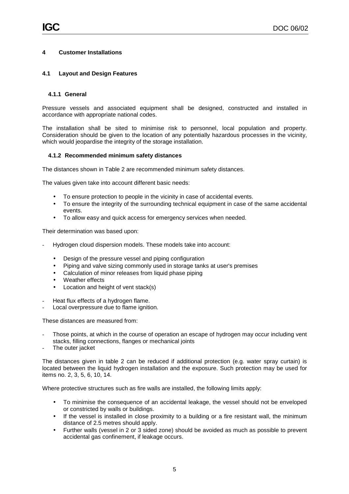#### **4 Customer Installations**

#### **4.1 Layout and Design Features**

#### **4.1.1 General**

Pressure vessels and associated equipment shall be designed, constructed and installed in accordance with appropriate national codes.

The installation shall be sited to minimise risk to personnel, local population and property. Consideration should be given to the location of any potentially hazardous processes in the vicinity, which would jeopardise the integrity of the storage installation.

#### **4.1.2 Recommended minimum safety distances**

The distances shown in Table 2 are recommended minimum safety distances.

The values given take into account different basic needs:

- To ensure protection to people in the vicinity in case of accidental events.
- To ensure the integrity of the surrounding technical equipment in case of the same accidental events.
- To allow easy and quick access for emergency services when needed.

Their determination was based upon:

- Hydrogen cloud dispersion models. These models take into account:
	- Design of the pressure vessel and piping configuration
	- Piping and valve sizing commonly used in storage tanks at user's premises
	- Calculation of minor releases from liquid phase piping
	- Weather effects
	- Location and height of vent stack(s)
- Heat flux effects of a hydrogen flame.
- Local overpressure due to flame ignition.

These distances are measured from:

- Those points, at which in the course of operation an escape of hydrogen may occur including vent stacks, filling connections, flanges or mechanical joints
- The outer jacket

The distances given in table 2 can be reduced if additional protection (e.g. water spray curtain) is located between the liquid hydrogen installation and the exposure. Such protection may be used for items no. 2, 3, 5, 6, 10, 14.

Where protective structures such as fire walls are installed, the following limits apply:

- To minimise the consequence of an accidental leakage, the vessel should not be enveloped or constricted by walls or buildings.
- If the vessel is installed in close proximity to a building or a fire resistant wall, the minimum distance of 2.5 metres should apply.
- Further walls (vessel in 2 or 3 sided zone) should be avoided as much as possible to prevent accidental gas confinement, if leakage occurs.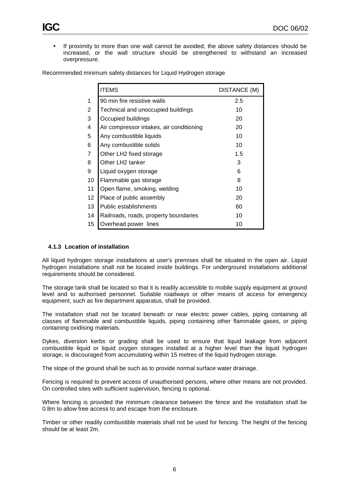• If proximity to more than one wall cannot be avoided, the above safety distances should be increased, or the wall structure should be strengthened to withstand an increased overpressure.

|                | <b>ITEMS</b>                             | <b>DISTANCE (M)</b> |
|----------------|------------------------------------------|---------------------|
| 1              | 90 min fire resistive walls              | 2.5                 |
| 2              | Technical and unoccupied buildings       | 10                  |
| 3              | Occupied buildings                       | 20                  |
| 4              | Air compressor intakes, air conditioning | 20                  |
| 5              | Any combustible liquids                  | 10                  |
| 6              | Any combustible solids                   | 10                  |
| $\overline{7}$ | Other LH2 fixed storage                  | 1.5                 |
| 8              | Other LH2 tanker                         | 3                   |
| 9              | Liquid oxygen storage                    | 6                   |
| 10             | Flammable gas storage                    | 8                   |
| 11             | Open flame, smoking, welding             | 10                  |
| 12             | Place of public assembly                 | 20                  |
| 13             | Public establishments                    | 60                  |
| 14             | Railroads, roads, property boundaries    | 10                  |
| 15             | Overhead power lines                     | 10                  |

Recommended minimum safety distances for Liquid Hydrogen storage

#### **4.1.3 Location of installation**

All liquid hydrogen storage installations at user's premises shall be situated in the open air. Liquid hydrogen installations shall not be located inside buildings. For underground installations additional requirements should be considered.

The storage tank shall be located so that it is readily accessible to mobile supply equipment at ground level and to authorised personnel. Suitable roadways or other means of access for emergency equipment, such as fire department apparatus, shall be provided.

The installation shall not be located beneath or near electric power cables, piping containing all classes of flammable and combustible liquids, piping containing other flammable gases, or piping containing oxidising materials.

Dykes, diversion kerbs or grading shall be used to ensure that liquid leakage from adjacent combustible liquid or liquid oxygen storages installed at a higher level than the liquid hydrogen storage, is discouraged from accumulating within 15 metres of the liquid hydrogen storage.

The slope of the ground shall be such as to provide normal surface water drainage.

Fencing is required to prevent access of unauthorised persons, where other means are not provided. On controlled sites with sufficient supervision, fencing is optional.

Where fencing is provided the minimum clearance between the fence and the installation shall be 0.8m to allow free access to and escape from the enclosure.

Timber or other readily combustible materials shall not be used for fencing. The height of the fencing should be at least 2m.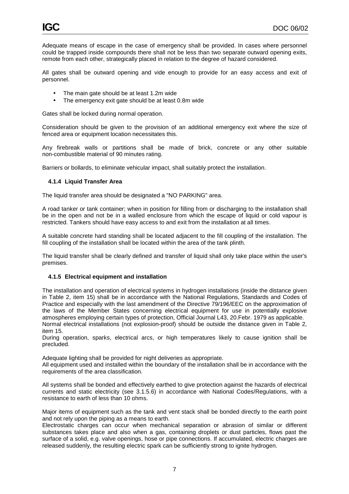Adequate means of escape in the case of emergency shall be provided. In cases where personnel could be trapped inside compounds there shall not be less than two separate outward opening exits, remote from each other, strategically placed in relation to the degree of hazard considered.

All gates shall be outward opening and vide enough to provide for an easy access and exit of personnel.

- The main gate should be at least 1.2m wide
- The emergency exit gate should be at least 0.8m wide

Gates shall be locked during normal operation.

Consideration should be given to the provision of an additional emergency exit where the size of fenced area or equipment location necessitates this.

Any firebreak walls or partitions shall be made of brick, concrete or any other suitable non-combustible material of 90 minutes rating.

Barriers or bollards, to eliminate vehicular impact, shall suitably protect the installation.

#### **4.1.4 Liquid Transfer Area**

The liquid transfer area should be designated a "NO PARKING" area.

A road tanker or tank container; when in position for filling from or discharging to the installation shall be in the open and not be in a walled enclosure from which the escape of liquid or cold vapour is restricted. Tankers should have easy access to and exit from the installation at all times.

A suitable concrete hard standing shall be located adjacent to the fill coupling of the installation. The fill coupling of the installation shall be located within the area of the tank plinth.

The liquid transfer shall be clearly defined and transfer of liquid shall only take place within the user's premises.

#### **4.1.5 Electrical equipment and installation**

The installation and operation of electrical systems in hydrogen installations (inside the distance given in Table 2, item 15) shall be in accordance with the National Regulations, Standards and Codes of Practice and especially with the last amendment of the Directive 79/196/EEC on the approximation of the laws of the Member States concerning electrical equipment for use in potentially explosive atmospheres employing certain types of protection, Official Journal L43, 20.Febr. 1979 as applicable. Normal electrical installations (not explosion-proof) should be outside the distance given in Table 2, item 15.

During operation, sparks, electrical arcs, or high temperatures likely to cause ignition shall be precluded.

Adequate lighting shall be provided for night deliveries as appropriate.

All equipment used and installed within the boundary of the installation shall be in accordance with the requirements of the area classification.

All systems shall be bonded and effectively earthed to give protection against the hazards of electrical currents and static electricity (see 3.1.5.6) in accordance with National Codes/Regulations, with a resistance to earth of less than 10 ohms.

Major items of equipment such as the tank and vent stack shall be bonded directly to the earth point and not rely upon the piping as a means to earth.

Electrostatic charges can occur when mechanical separation or abrasion of similar or different substances takes place and also when a gas, containing droplets or dust particles, flows past the surface of a solid, e.g. valve openings, hose or pipe connections. If accumulated, electric charges are released suddenly, the resulting electric spark can be sufficiently strong to ignite hydrogen.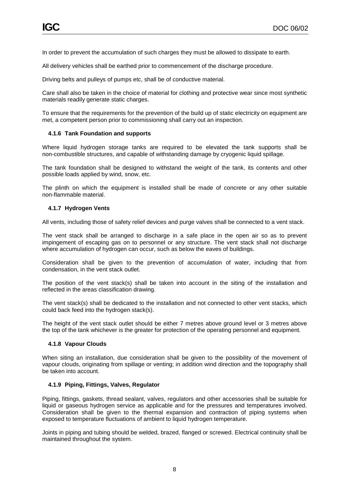In order to prevent the accumulation of such charges they must be allowed to dissipate to earth.

All delivery vehicles shall be earthed prior to commencement of the discharge procedure.

Driving belts and pulleys of pumps etc, shall be of conductive material.

Care shall also be taken in the choice of material for clothing and protective wear since most synthetic materials readily generate static charges.

To ensure that the requirements for the prevention of the build up of static electricity on equipment are met, a competent person prior to commissioning shall carry out an inspection.

#### **4.1.6 Tank Foundation and supports**

Where liquid hydrogen storage tanks are required to be elevated the tank supports shall be non-combustible structures, and capable of withstanding damage by cryogenic liquid spillage.

The tank foundation shall be designed to withstand the weight of the tank, its contents and other possible loads applied by wind, snow, etc.

The plinth on which the equipment is installed shall be made of concrete or any other suitable non-flammable material.

#### **4.1.7 Hydrogen Vents**

All vents, including those of safety relief devices and purge valves shall be connected to a vent stack.

The vent stack shall be arranged to discharge in a safe place in the open air so as to prevent impingement of escaping gas on to personnel or any structure. The vent stack shall not discharge where accumulation of hydrogen can occur, such as below the eaves of buildings.

Consideration shall be given to the prevention of accumulation of water, including that from condensation, in the vent stack outlet.

The position of the vent stack(s) shall be taken into account in the siting of the installation and reflected in the areas classification drawing.

The vent stack(s) shall be dedicated to the installation and not connected to other vent stacks, which could back feed into the hydrogen stack(s).

The height of the vent stack outlet should be either 7 metres above ground level or 3 metres above the top of the tank whichever is the greater for protection of the operating personnel and equipment.

#### **4.1.8 Vapour Clouds**

When siting an installation, due consideration shall be given to the possibility of the movement of vapour clouds, originating from spillage or venting; in addition wind direction and the topography shall be taken into account.

#### **4.1.9 Piping, Fittings, Valves, Regulator**

Piping, fittings, gaskets, thread sealant, valves, regulators and other accessories shall be suitable for liquid or gaseous hydrogen service as applicable and for the pressures and temperatures involved. Consideration shall be given to the thermal expansion and contraction of piping systems when exposed to temperature fluctuations of ambient to liquid hydrogen temperature.

Joints in piping and tubing should be welded, brazed, flanged or screwed. Electrical continuity shall be maintained throughout the system.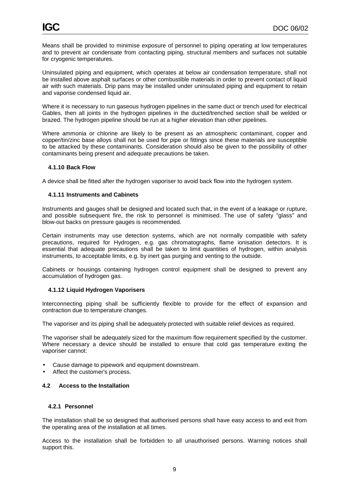Means shall be provided to minimise exposure of personnel to piping operating at low temperatures and to prevent air condensate from contacting piping, structural members and surfaces not suitable for cryogenic temperatures.

Uninsulated piping and equipment, which operates at below air condensation temperature, shall not be installed above asphalt surfaces or other combustible materials in order to prevent contact of liquid air with such materials. Drip pans may be installed under uninsulated piping and equipment to retain and vaporise condensed liquid air.

Where it is necessary to run gaseous hydrogen pipelines in the same duct or trench used for electrical Gables, then all joints in the hydrogen pipelines in the ducted/trenched section shall be welded or brazed. The hydrogen pipeline should be run at a higher elevation than other pipelines.

Where ammonia or chlorine are likely to be present as an atmospheric contaminant, copper and copper/tin/zinc base alloys shall not be used for pipe or fittings since these materials are susceptible to be attacked by these contaminants. Consideration should also be given to the possibility of other contaminants being present and adequate precautions be taken.

#### **4.1.10 Back Flow**

A device shall be fitted after the hydrogen vaporiser to avoid back flow into the hydrogen system.

#### **4.1.11 Instruments and Cabinets**

Instruments and gauges shall be designed and located such that, in the event of a leakage or rupture, and possible subsequent fire, the risk to personnel is minimised. The use of safety "glass" and blow-out backs on pressure gauges is recommended.

Certain instruments may use detection systems, which are not normally compatible with safety precautions, required for Hydrogen, e.g. gas chromatographs, flame ionisation detectors. It is essential that adequate precautions shall be taken to limit quantities of hydrogen, within analysis instruments, to acceptable limits, e.g. by inert gas purging and venting to the outside.

Cabinets or housings containing hydrogen control equipment shall be designed to prevent any accumulation of hydrogen gas.

#### **4.1.12 Liquid Hydrogen Vaporisers**

Interconnecting piping shall be sufficiently flexible to provide for the effect of expansion and contraction due to temperature changes.

The vaporiser and its piping shall be adequately protected with suitable relief devices as required.

The vaporiser shall be adequately sized for the maximum flow requirement specified by the customer. Where necessary a device should be installed to ensure that cold gas temperature exiting the vaporiser cannot:

- Cause damage to pipework and equipment downstream.
- Affect the customer's process.

#### **4.2 Access to the Installation**

#### **4.2.1 Personnel**

The installation shall be so designed that authorised persons shall have easy access to and exit from the operating area of the installation at all times.

Access to the installation shall be forbidden to all unauthorised persons. Warning notices shall support this.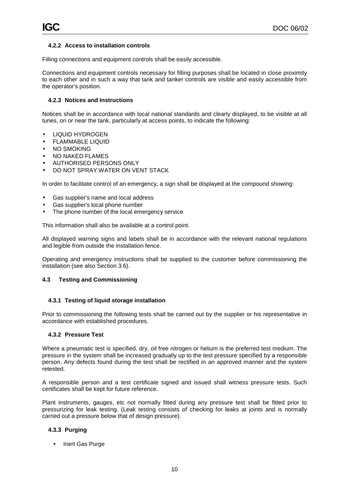#### **4.2.2 Access to installation controls**

Filling connections and equipment controls shall be easily accessible.

Connections and equipment controls necessary for filling purposes shall be located in close proximity to each other and in such a way that tank and tanker controls are visible and easily accessible from the operator's position.

#### **4.2.3 Notices and Instructions**

Notices shall be in accordance with local national standards and clearly displayed, to be visible at all tunes, on or near the tank, particularly at access points, to indicate the following:

- LIQUID HYDROGEN
- FLAMMABLE LIQUID
- NO SMOKING
- NO NAKED FLAMES
- AUTHORISED PERSONS ONLY
- DO NOT SPRAY WATER ON VENT STACK

In order to facilitate control of an emergency, a sign shall be displayed at the compound showing:

- Gas supplier's name and local address
- Gas supplier's local phone number
- The phone number of the local emergency service

This information shall also be available at a control point.

All displayed warning signs and labels shall be in accordance with the relevant national regulations and legible from outside the installation fence.

Operating and emergency instructions shall be supplied to the customer before commissioning the installation (see also Section 3.6).

#### **4.3 Testing and Commissioning**

#### **4.3.1 Testing of liquid storage installation**

Prior to commissioning the following tests shall be carried out by the supplier or his representative in accordance with established procedures.

#### **4.3.2 Pressure Test**

Where a pneumatic test is specified, dry, oil free nitrogen or helium is the preferred test medium. The pressure in the system shall be increased gradually up to the test pressure specified by a responsible person. Any defects found during the test shall be rectified in an approved manner and the system retested.

A responsible person and a test certificate signed and issued shall witness pressure tests. Such certificates shall be kept for future reference.

Plant instruments, gauges, etc not normally fitted during any pressure test shall be fitted prior to pressurizing for leak testing. (Leak testing consists of checking for leaks at joints and is normally carried out a pressure below that of design pressure).

#### **4.3.3 Purging**

• Inert Gas Purge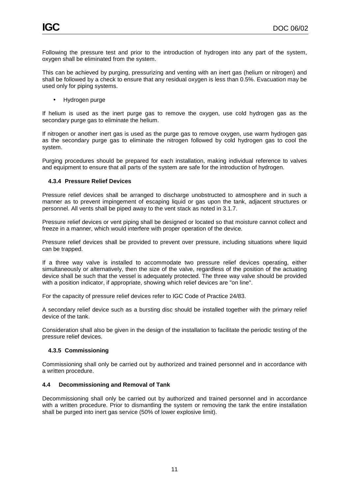Following the pressure test and prior to the introduction of hydrogen into any part of the system, oxygen shall be eliminated from the system.

This can be achieved by purging, pressurizing and venting with an inert gas (helium or nitrogen) and shall be followed by a check to ensure that any residual oxygen is less than 0.5%. Evacuation may be used only for piping systems.

• Hydrogen purge

If helium is used as the inert purge gas to remove the oxygen, use cold hydrogen gas as the secondary purge gas to eliminate the helium.

If nitrogen or another inert gas is used as the purge gas to remove oxygen, use warm hydrogen gas as the secondary purge gas to eliminate the nitrogen followed by cold hydrogen gas to cool the system.

Purging procedures should be prepared for each installation, making individual reference to valves and equipment to ensure that all parts of the system are safe for the introduction of hydrogen.

#### **4.3.4 Pressure Relief Devices**

Pressure relief devices shall be arranged to discharge unobstructed to atmosphere and in such a manner as to prevent impingement of escaping liquid or gas upon the tank, adjacent structures or personnel. All vents shall be piped away to the vent stack as noted in 3.1.7.

Pressure relief devices or vent piping shall be designed or located so that moisture cannot collect and freeze in a manner, which would interfere with proper operation of the device.

Pressure relief devices shall be provided to prevent over pressure, including situations where liquid can be trapped.

If a three way valve is installed to accommodate two pressure relief devices operating, either simultaneously or alternatively, then the size of the valve, regardless of the position of the actuating device shall be such that the vessel is adequately protected. The three way valve should be provided with a position indicator, if appropriate, showing which relief devices are "on line".

For the capacity of pressure relief devices refer to IGC Code of Practice 24/83.

A secondary relief device such as a bursting disc should be installed together with the primary relief device of the tank.

Consideration shall also be given in the design of the installation to facilitate the periodic testing of the pressure relief devices.

#### **4.3.5 Commissioning**

Commissioning shall only be carried out by authorized and trained personnel and in accordance with a written procedure.

#### **4.4 Decommissioning and Removal of Tank**

Decommissioning shall only be carried out by authorized and trained personnel and in accordance with a written procedure. Prior to dismantling the system or removing the tank the entire installation shall be purged into inert gas service (50% of lower explosive limit).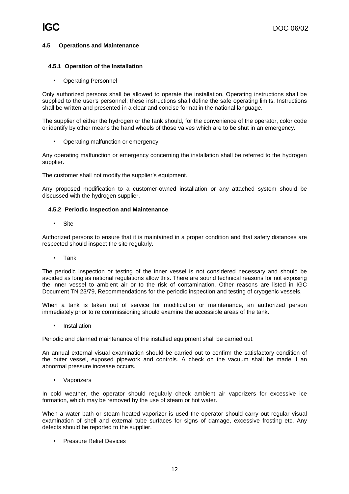#### **4.5 Operations and Maintenance**

#### **4.5.1 Operation of the Installation**

• Operating Personnel

Only authorized persons shall be allowed to operate the installation. Operating instructions shall be supplied to the user's personnel; these instructions shall define the safe operating limits. Instructions shall be written and presented in a clear and concise format in the national language.

The supplier of either the hydrogen or the tank should, for the convenience of the operator, color code or identify by other means the hand wheels of those valves which are to be shut in an emergency.

• Operating malfunction or emergency

Any operating malfunction or emergency concerning the installation shall be referred to the hydrogen supplier.

The customer shall not modify the supplier's equipment.

Any proposed modification to a customer-owned installation or any attached system should be discussed with the hydrogen supplier.

#### **4.5.2 Periodic Inspection and Maintenance**

• Site

Authorized persons to ensure that it is maintained in a proper condition and that safety distances are respected should inspect the site regularly.

• Tank

The periodic inspection or testing of the inner vessel is not considered necessary and should be avoided as long as national regulations allow this. There are sound technical reasons for not exposing the inner vessel to ambient air or to the risk of contamination. Other reasons are listed in IGC Document TN 23/79, Recommendations for the periodic inspection and testing of cryogenic vessels.

When a tank is taken out of service for modification or maintenance, an authorized person immediately prior to re commissioning should examine the accessible areas of the tank.

**Installation** 

Periodic and planned maintenance of the installed equipment shall be carried out.

An annual external visual examination should be carried out to confirm the satisfactory condition of the outer vessel, exposed pipework and controls. A check on the vacuum shall be made if an abnormal pressure increase occurs.

**Vaporizers** 

In cold weather, the operator should regularly check ambient air vaporizers for excessive ice formation, which may be removed by the use of steam or hot water.

When a water bath or steam heated vaporizer is used the operator should carry out regular visual examination of shell and external tube surfaces for signs of damage, excessive frosting etc. Any defects should be reported to the supplier.

• Pressure Relief Devices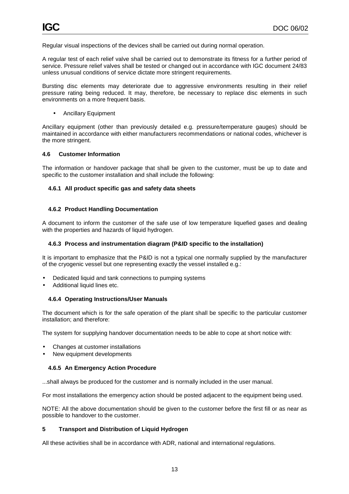Regular visual inspections of the devices shall be carried out during normal operation.

A regular test of each relief valve shall be carried out to demonstrate its fitness for a further period of service. Pressure relief valves shall be tested or changed out in accordance with IGC document 24/83 unless unusual conditions of service dictate more stringent requirements.

Bursting disc elements may deteriorate due to aggressive environments resulting in their relief pressure rating being reduced. It may, therefore, be necessary to replace disc elements in such environments on a more frequent basis.

• Ancillary Equipment

Ancillary equipment (other than previously detailed e.g. pressure/temperature gauges) should be maintained in accordance with either manufacturers recommendations or national codes, whichever is the more stringent.

#### **4.6 Customer Information**

The information or handover package that shall be given to the customer, must be up to date and specific to the customer installation and shall include the following:

#### **4.6.1 All product specific gas and safety data sheets**

#### **4.6.2 Product Handling Documentation**

A document to inform the customer of the safe use of low temperature liquefied gases and dealing with the properties and hazards of liquid hydrogen.

#### **4.6.3 Process and instrumentation diagram (P&ID specific to the installation)**

It is important to emphasize that the P&ID is not a typical one normally supplied by the manufacturer of the cryogenic vessel but one representing exactly the vessel installed e.g.:

- Dedicated liquid and tank connections to pumping systems
- Additional liquid lines etc.

#### **4.6.4 Operating Instructions/User Manuals**

The document which is for the safe operation of the plant shall be specific to the particular customer installation; and therefore:

The system for supplying handover documentation needs to be able to cope at short notice with:

- Changes at customer installations
- New equipment developments

#### **4.6.5 An Emergency Action Procedure**

...shall always be produced for the customer and is normally included in the user manual.

For most installations the emergency action should be posted adjacent to the equipment being used.

NOTE: All the above documentation should be given to the customer before the first fill or as near as possible to handover to the customer.

#### **5 Transport and Distribution of Liquid Hydrogen**

All these activities shall be in accordance with ADR, national and international regulations.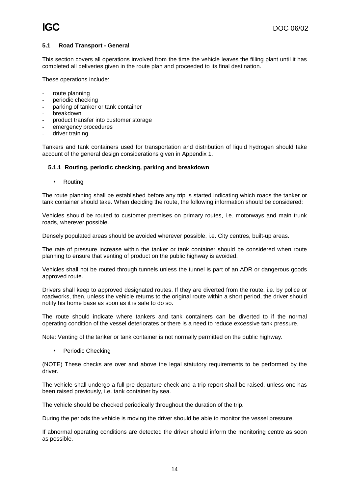#### **5.1 Road Transport - General**

This section covers all operations involved from the time the vehicle leaves the filling plant until it has completed all deliveries given in the route plan and proceeded to its final destination.

These operations include:

- route planning
- periodic checking
- parking of tanker or tank container
- breakdown
- product transfer into customer storage
- emergency procedures
- driver training

Tankers and tank containers used for transportation and distribution of liquid hydrogen should take account of the general design considerations given in Appendix 1.

#### **5.1.1 Routing, periodic checking, parking and breakdown**

• Routing

The route planning shall be established before any trip is started indicating which roads the tanker or tank container should take. When deciding the route, the following information should be considered:

Vehicles should be routed to customer premises on primary routes, i.e. motorways and main trunk roads, wherever possible.

Densely populated areas should be avoided wherever possible, i.e. City centres, built-up areas.

The rate of pressure increase within the tanker or tank container should be considered when route planning to ensure that venting of product on the public highway is avoided.

Vehicles shall not be routed through tunnels unless the tunnel is part of an ADR or dangerous goods approved route.

Drivers shall keep to approved designated routes. If they are diverted from the route, i.e. by police or roadworks, then, unless the vehicle returns to the original route within a short period, the driver should notify his home base as soon as it is safe to do so.

The route should indicate where tankers and tank containers can be diverted to if the normal operating condition of the vessel deteriorates or there is a need to reduce excessive tank pressure.

Note: Venting of the tanker or tank container is not normally permitted on the public highway.

• Periodic Checking

(NOTE) These checks are over and above the legal statutory requirements to be performed by the driver.

The vehicle shall undergo a full pre-departure check and a trip report shall be raised, unless one has been raised previously, i.e. tank container by sea.

The vehicle should be checked periodically throughout the duration of the trip.

During the periods the vehicle is moving the driver should be able to monitor the vessel pressure.

If abnormal operating conditions are detected the driver should inform the monitoring centre as soon as possible.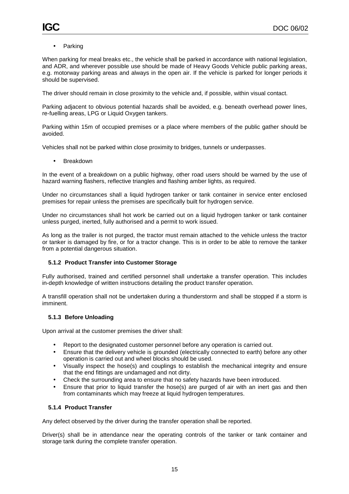**Parking** 

When parking for meal breaks etc., the vehicle shall be parked in accordance with national legislation, and ADR, and wherever possible use should be made of Heavy Goods Vehicle public parking areas, e.g. motorway parking areas and always in the open air. If the vehicle is parked for longer periods it should be supervised.

The driver should remain in close proximity to the vehicle and, if possible, within visual contact.

Parking adjacent to obvious potential hazards shall be avoided, e.g. beneath overhead power lines, re-fuelling areas, LPG or Liquid Oxygen tankers.

Parking within 15m of occupied premises or a place where members of the public gather should be avoided.

Vehicles shall not be parked within close proximity to bridges, tunnels or underpasses.

**Breakdown** 

In the event of a breakdown on a public highway, other road users should be warned by the use of hazard warning flashers, reflective triangles and flashing amber lights, as required.

Under no circumstances shall a liquid hydrogen tanker or tank container in service enter enclosed premises for repair unless the premises are specifically built for hydrogen service.

Under no circumstances shall hot work be carried out on a liquid hydrogen tanker or tank container unless purged, inerted, fully authorised and a permit to work issued.

As long as the trailer is not purged, the tractor must remain attached to the vehicle unless the tractor or tanker is damaged by fire, or for a tractor change. This is in order to be able to remove the tanker from a potential dangerous situation.

#### **5.1.2 Product Transfer into Customer Storage**

Fully authorised, trained and certified personnel shall undertake a transfer operation. This includes in-depth knowledge of written instructions detailing the product transfer operation.

A transfill operation shall not be undertaken during a thunderstorm and shall be stopped if a storm is imminent.

#### **5.1.3 Before Unloading**

Upon arrival at the customer premises the driver shall:

- Report to the designated customer personnel before any operation is carried out.
- Ensure that the delivery vehicle is grounded (electrically connected to earth) before any other operation is carried out and wheel blocks should be used.
- Visually inspect the hose(s) and couplings to establish the mechanical integrity and ensure that the end fittings are undamaged and not dirty.
- Check the surrounding area to ensure that no safety hazards have been introduced.
- Ensure that prior to liquid transfer the hose(s) are purged of air with an inert gas and then from contaminants which may freeze at liquid hydrogen temperatures.

#### **5.1.4 Product Transfer**

Any defect observed by the driver during the transfer operation shall be reported.

Driver(s) shall be in attendance near the operating controls of the tanker or tank container and storage tank during the complete transfer operation.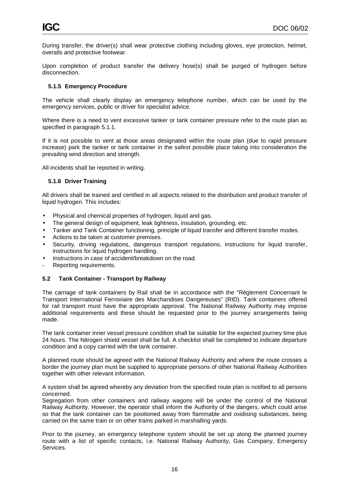During transfer, the driver(s) shall wear protective clothing including gloves, eye protection, helmet, overalls and protective footwear.

Upon completion of product transfer the delivery hose(s) shall be purged of hydrogen before disconnection.

### **5.1.5 Emergency Procedure**

The vehicle shall clearly display an emergency telephone number, which can be used by the emergency services, public or driver for specialist advice.

Where there is a need to vent excessive tanker or tank container pressure refer to the route plan as specified in paragraph 5.1.1.

If it is not possible to vent at those areas designated within the route plan (due to rapid pressure increase) park the tanker or tank container in the safest possible place taking into consideration the prevailing wind direction and strength.

All incidents shall be reported in writing.

#### **5.1.6 Driver Training**

All drivers shall be trained and certified in all aspects related to the distribution and product transfer of liquid hydrogen. This includes:

- Physical and chemical properties of hydrogen, liquid and gas.
- The general design of equipment, leak tightness, insulation, grounding, etc.
- Tanker and Tank Container functioning, principle of liquid transfer and different transfer modes.
- Actions to be taken at customer premises.
- Security, driving regulations, dangerous transport regulations, instructions for liquid transfer, instructions for liquid hydrogen handling.
- Instructions in case of accident/breakdown on the road.
- Reporting requirements.

#### **5.2 Tank Container - Transport by Railway**

The carriage of tank containers by Rail shall be in accordance with the "Règlement Concernant le Transport International Ferroviaire des Marchandises Dangereuses" (RID). Tank containers offered for rail transport must have the appropriate approval. The National Railway Authority may impose additional requirements and these should be requested prior to the journey arrangements being made.

The tank container inner vessel pressure condition shall be suitable for the expected journey time plus 24 hours. The Nitrogen shield vessel shall be full. A checklist shall be completed to indicate departure condition and a copy carried with the tank container.

A planned route should be agreed with the National Railway Authority and where the route crosses a border the journey plan must be supplied to appropriate persons of other National Railway Authorities together with other relevant information.

A system shall be agreed whereby any deviation from the specified route plan is notified to all persons concerned.

Segregation from other containers and railway wagons will be under the control of the National Railway Authority. However, the operator shall inform the Authority of the dangers, which could arise so that the tank container can be positioned away from flammable and oxidising substances, being carried on the same train or on other trains parked in marshalling yards.

Prior to the journey, an emergency telephone system should be set up along the planned journey route with a list of specific contacts, i.e. National Railway Authority, Gas Company, Emergency Services.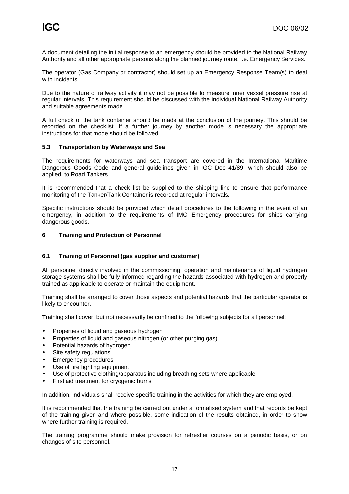A document detailing the initial response to an emergency should be provided to the National Railway Authority and all other appropriate persons along the planned journey route, i.e. Emergency Services.

The operator (Gas Company or contractor) should set up an Emergency Response Team(s) to deal with incidents.

Due to the nature of railway activity it may not be possible to measure inner vessel pressure rise at regular intervals. This requirement should be discussed with the individual National Railway Authority and suitable agreements made.

A full check of the tank container should be made at the conclusion of the journey. This should be recorded on the checklist. If a further journey by another mode is necessary the appropriate instructions for that mode should be followed.

#### **5.3 Transportation by Waterways and Sea**

The requirements for waterways and sea transport are covered in the International Maritime Dangerous Goods Code and general guidelines given in IGC Doc 41/89, which should also be applied, to Road Tankers.

It is recommended that a check list be supplied to the shipping line to ensure that performance monitoring of the Tanker/Tank Container is recorded at regular intervals.

Specific instructions should be provided which detail procedures to the following in the event of an emergency, in addition to the requirements of IMO Emergency procedures for ships carrying dangerous goods.

#### **6 Training and Protection of Personnel**

#### **6.1 Training of Personnel (gas supplier and customer)**

All personnel directly involved in the commissioning, operation and maintenance of liquid hydrogen storage systems shall be fully informed regarding the hazards associated with hydrogen and properly trained as applicable to operate or maintain the equipment.

Training shall be arranged to cover those aspects and potential hazards that the particular operator is likely to encounter.

Training shall cover, but not necessarily be confined to the following subjects for all personnel:

- Properties of liquid and gaseous hydrogen
- Properties of liquid and gaseous nitrogen (or other purging gas)
- Potential hazards of hydrogen
- Site safety regulations
- Emergency procedures
- Use of fire fighting equipment
- Use of protective clothing/apparatus including breathing sets where applicable
- First aid treatment for cryogenic burns

In addition, individuals shall receive specific training in the activities for which they are employed.

It is recommended that the training be carried out under a formalised system and that records be kept of the training given and where possible, some indication of the results obtained, in order to show where further training is required.

The training programme should make provision for refresher courses on a periodic basis, or on changes of site personnel.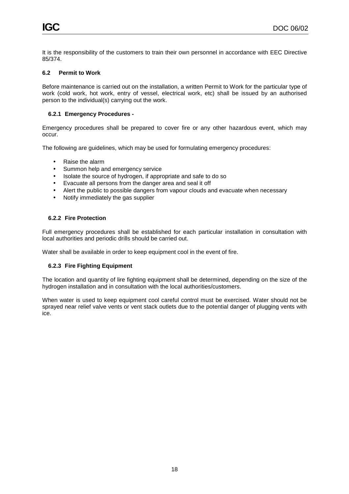It is the responsibility of the customers to train their own personnel in accordance with EEC Directive 85/374.

#### **6.2 Permit to Work**

Before maintenance is carried out on the installation, a written Permit to Work for the particular type of work (cold work, hot work, entry of vessel, electrical work, etc) shall be issued by an authorised person to the individual(s) carrying out the work.

#### **6.2.1 Emergency Procedures -**

Emergency procedures shall be prepared to cover fire or any other hazardous event, which may occur.

The following are guidelines, which may be used for formulating emergency procedures:

- Raise the alarm
- Summon help and emergency service
- Isolate the source of hydrogen, if appropriate and safe to do so
- Evacuate all persons from the danger area and seal it off
- Alert the public to possible dangers from vapour clouds and evacuate when necessary
- Notify immediately the gas supplier

#### **6.2.2 Fire Protection**

Full emergency procedures shall be established for each particular installation in consultation with local authorities and periodic drills should be carried out.

Water shall be available in order to keep equipment cool in the event of fire.

#### **6.2.3 Fire Fighting Equipment**

The location and quantity of lire fighting equipment shall be determined, depending on the size of the hydrogen installation and in consultation with the local authorities/customers.

When water is used to keep equipment cool careful control must be exercised. Water should not be sprayed near relief valve vents or vent stack outlets due to the potential danger of plugging vents with ice.